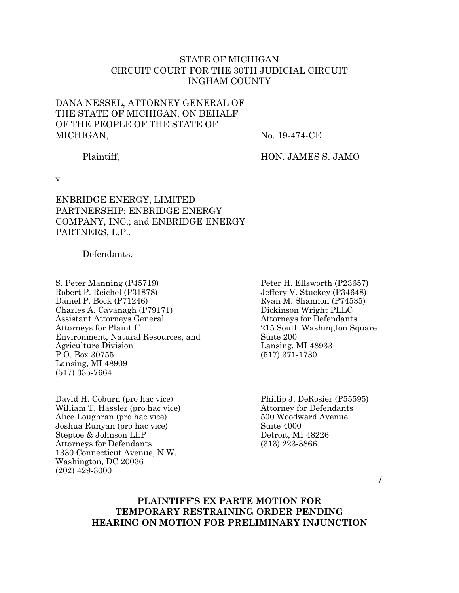## STATE OF MICHIGAN CIRCUIT COURT FOR THE 30TH JUDICIAL CIRCUIT INGHAM COUNTY

## DANA NESSEL, ATTORNEY GENERAL OF THE STATE OF MICHIGAN, ON BEHALF OF THE PEOPLE OF THE STATE OF MICHIGAN,

No. 19-474-CE

Plaintiff,

HON. JAMES S. JAMO

v

ENBRIDGE ENERGY, LIMITED PARTNERSHIP; ENBRIDGE ENERGY COMPANY, INC.; and ENBRIDGE ENERGY PARTNERS, L.P.,

Defendants.

S. Peter Manning (P45719) Robert P. Reichel (P31878) Daniel P. Bock (P71246) Charles A. Cavanagh (P79171) Assistant Attorneys General Attorneys for Plaintiff Environment, Natural Resources, and Agriculture Division P.O. Box 30755 Lansing, MI 48909 (517) 335-7664

David H. Coburn (pro hac vice) William T. Hassler (pro hac vice) Alice Loughran (pro hac vice) Joshua Runyan (pro hac vice) Steptoe & Johnson LLP Attorneys for Defendants 1330 Connecticut Avenue, N.W. Washington, DC 20036 (202) 429-3000

Peter H. Ellsworth (P23657) Jeffery V. Stuckey (P34648) Ryan M. Shannon (P74535) Dickinson Wright PLLC Attorneys for Defendants 215 South Washington Square Suite 200 Lansing, MI 48933 (517) 371-1730

Phillip J. DeRosier (P55595) Attorney for Defendants 500 Woodward Avenue Suite 4000 Detroit, MI 48226 (313) 223-3866

/

## **PLAINTIFF'S EX PARTE MOTION FOR TEMPORARY RESTRAINING ORDER PENDING HEARING ON MOTION FOR PRELIMINARY INJUNCTION**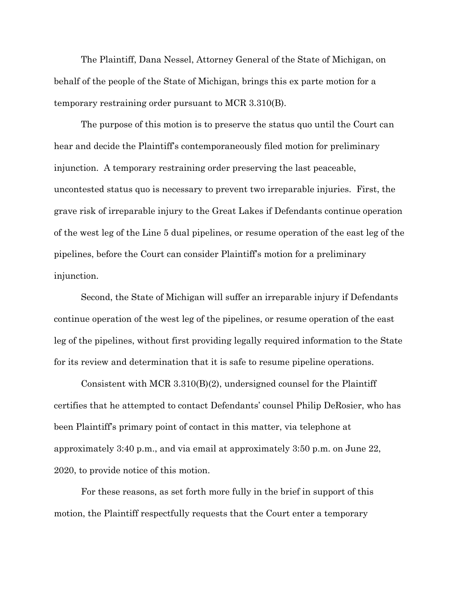The Plaintiff, Dana Nessel, Attorney General of the State of Michigan, on behalf of the people of the State of Michigan, brings this ex parte motion for a temporary restraining order pursuant to MCR 3.310(B).

The purpose of this motion is to preserve the status quo until the Court can hear and decide the Plaintiff's contemporaneously filed motion for preliminary injunction. A temporary restraining order preserving the last peaceable, uncontested status quo is necessary to prevent two irreparable injuries. First, the grave risk of irreparable injury to the Great Lakes if Defendants continue operation of the west leg of the Line 5 dual pipelines, or resume operation of the east leg of the pipelines, before the Court can consider Plaintiff's motion for a preliminary injunction.

Second, the State of Michigan will suffer an irreparable injury if Defendants continue operation of the west leg of the pipelines, or resume operation of the east leg of the pipelines, without first providing legally required information to the State for its review and determination that it is safe to resume pipeline operations.

Consistent with MCR 3.310(B)(2), undersigned counsel for the Plaintiff certifies that he attempted to contact Defendants' counsel Philip DeRosier, who has been Plaintiff's primary point of contact in this matter, via telephone at approximately 3:40 p.m., and via email at approximately 3:50 p.m. on June 22, 2020, to provide notice of this motion.

For these reasons, as set forth more fully in the brief in support of this motion, the Plaintiff respectfully requests that the Court enter a temporary